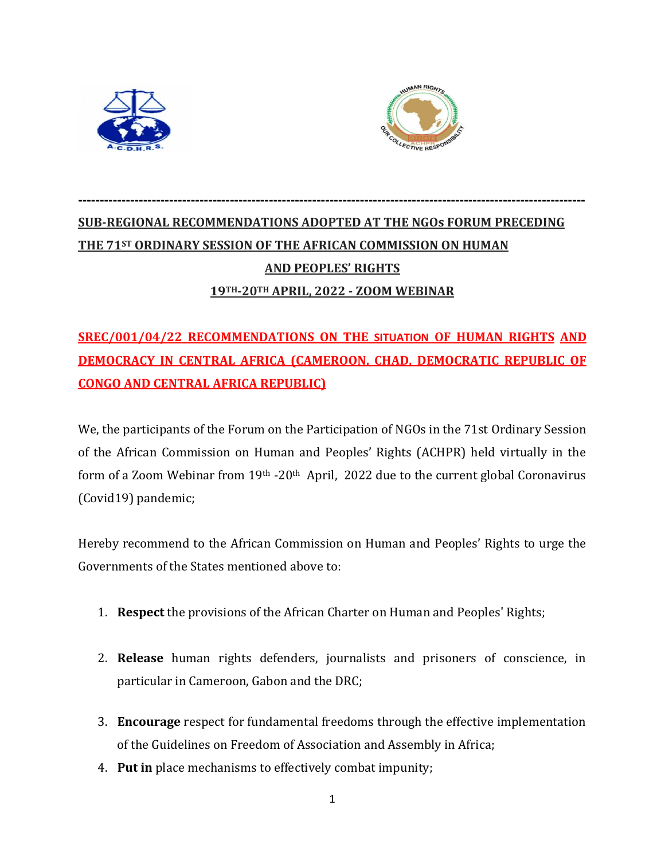



# **SUB-REGIONAL RECOMMENDATIONS ADOPTED AT THE NGOs FORUM PRECEDING THE 71ST ORDINARY SESSION OF THE AFRICAN COMMISSION ON HUMAN AND PEOPLES' RIGHTS 19TH-20TH APRIL, 2022 - ZOOM WEBINAR**

**---------------------------------------------------------------------------------------------------------------------** 

# **SREC/001/04/22 RECOMMENDATIONS ON THE SITUATION OF HUMAN RIGHTS AND DEMOCRACY IN CENTRAL AFRICA (CAMEROON, CHAD, DEMOCRATIC REPUBLIC OF CONGO AND CENTRAL AFRICA REPUBLIC)**

We, the participants of the Forum on the Participation of NGOs in the 71st Ordinary Session of the African Commission on Human and Peoples' Rights (ACHPR) held virtually in the form of a Zoom Webinar from 19<sup>th</sup> -20<sup>th</sup> April, 2022 due to the current global Coronavirus (Covid19) pandemic;

Hereby recommend to the African Commission on Human and Peoples' Rights to urge the Governments of the States mentioned above to:

- 1. **Respect** the provisions of the African Charter on Human and Peoples' Rights;
- 2. **Release** human rights defenders, journalists and prisoners of conscience, in particular in Cameroon, Gabon and the DRC;
- 3. **Encourage** respect for fundamental freedoms through the effective implementation of the Guidelines on Freedom of Association and Assembly in Africa;
- 4. **Put in** place mechanisms to effectively combat impunity;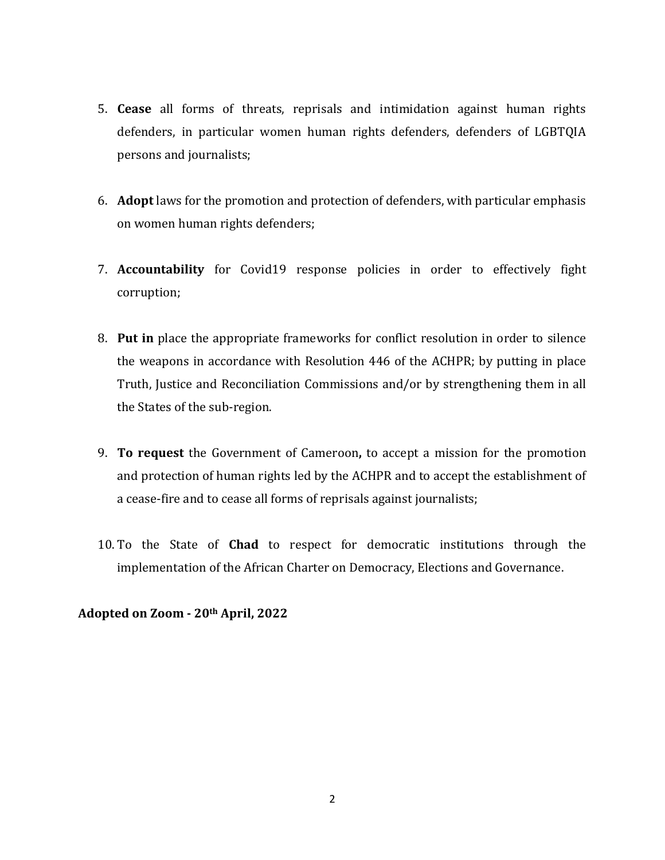- 5. **Cease** all forms of threats, reprisals and intimidation against human rights defenders, in particular women human rights defenders, defenders of LGBTQIA persons and journalists;
- 6. **Adopt** laws for the promotion and protection of defenders, with particular emphasis on women human rights defenders;
- 7. **Accountability** for Covid19 response policies in order to effectively fight corruption;
- 8. **Put in** place the appropriate frameworks for conflict resolution in order to silence the weapons in accordance with Resolution 446 of the ACHPR; by putting in place Truth, Justice and Reconciliation Commissions and/or by strengthening them in all the States of the sub-region.
- 9. **To request** the Government of Cameroon**,** to accept a mission for the promotion and protection of human rights led by the ACHPR and to accept the establishment of a cease-fire and to cease all forms of reprisals against journalists;
- 10. To the State of **Chad** to respect for democratic institutions through the implementation of the African Charter on Democracy, Elections and Governance.

**Adopted on Zoom - 20th April, 2022**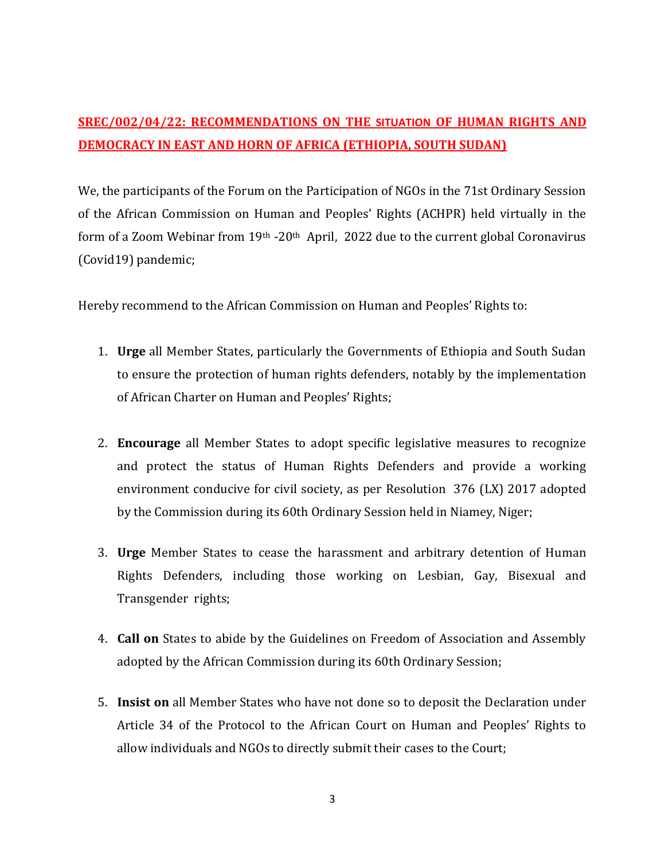# **SREC/002/04/22: RECOMMENDATIONS ON THE SITUATION OF HUMAN RIGHTS AND DEMOCRACY IN EAST AND HORN OF AFRICA (ETHIOPIA, SOUTH SUDAN)**

We, the participants of the Forum on the Participation of NGOs in the 71st Ordinary Session of the African Commission on Human and Peoples' Rights (ACHPR) held virtually in the form of a Zoom Webinar from 19<sup>th</sup> -20<sup>th</sup> April, 2022 due to the current global Coronavirus (Covid19) pandemic;

Hereby recommend to the African Commission on Human and Peoples' Rights to:

- 1. **Urge** all Member States, particularly the Governments of Ethiopia and South Sudan to ensure the protection of human rights defenders, notably by the implementation of African Charter on Human and Peoples' Rights;
- 2. **Encourage** all Member States to adopt specific legislative measures to recognize and protect the status of Human Rights Defenders and provide a working environment conducive for civil society, as per Resolution 376 (LX) 2017 adopted by the Commission during its 60th Ordinary Session held in Niamey, Niger;
- 3. **Urge** Member States to cease the harassment and arbitrary detention of Human Rights Defenders, including those working on Lesbian, Gay, Bisexual and Transgender rights;
- 4. **Call on** States to abide by the Guidelines on Freedom of Association and Assembly adopted by the African Commission during its 60th Ordinary Session;
- 5. **Insist on** all Member States who have not done so to deposit the Declaration under Article 34 of the Protocol to the African Court on Human and Peoples' Rights to allow individuals and NGOs to directly submit their cases to the Court;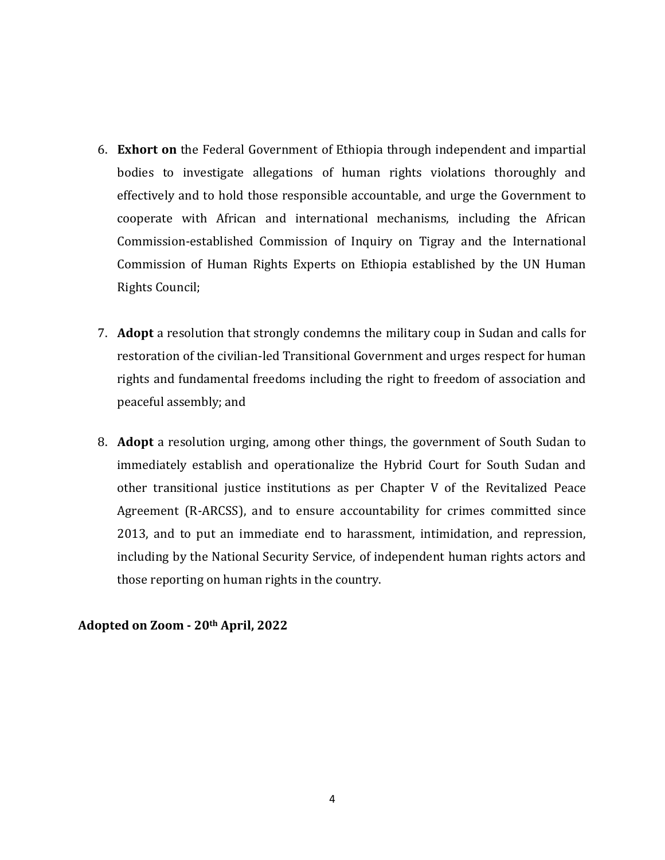- 6. **Exhort on** the Federal Government of Ethiopia through independent and impartial bodies to investigate allegations of human rights violations thoroughly and effectively and to hold those responsible accountable, and urge the Government to cooperate with African and international mechanisms, including the African Commission-established Commission of Inquiry on Tigray and the International Commission of Human Rights Experts on Ethiopia established by the UN Human Rights Council;
- 7. **Adopt** a resolution that strongly condemns the military coup in Sudan and calls for restoration of the civilian-led Transitional Government and urges respect for human rights and fundamental freedoms including the right to freedom of association and peaceful assembly; and
- 8. **Adopt** a resolution urging, among other things, the government of South Sudan to immediately establish and operationalize the Hybrid Court for South Sudan and other transitional justice institutions as per Chapter V of the Revitalized Peace Agreement (R-ARCSS), and to ensure accountability for crimes committed since 2013, and to put an immediate end to harassment, intimidation, and repression, including by the National Security Service, of independent human rights actors and those reporting on human rights in the country.

**Adopted on Zoom - 20th April, 2022**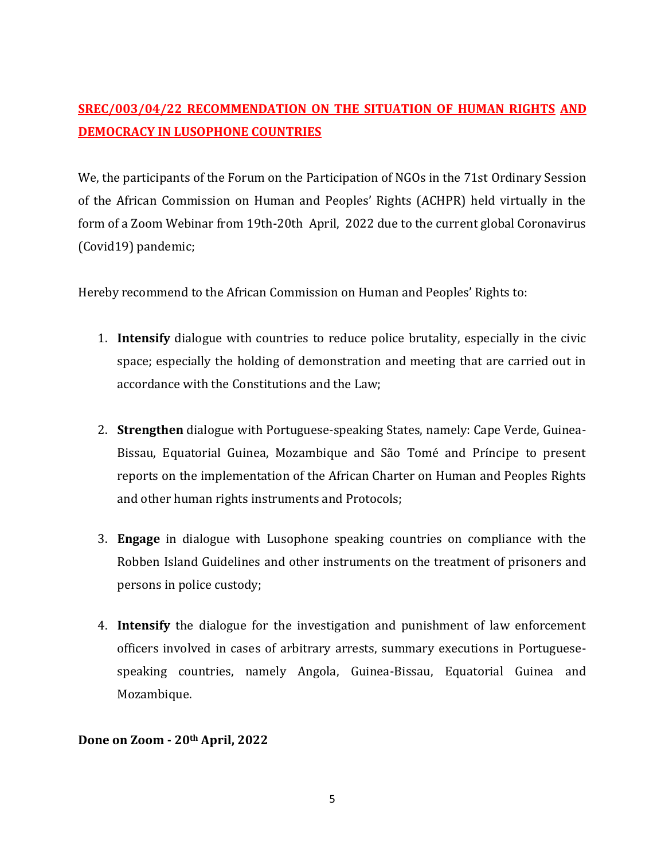# **SREC/003/04/22 RECOMMENDATION ON THE SITUATION OF HUMAN RIGHTS AND DEMOCRACY IN LUSOPHONE COUNTRIES**

We, the participants of the Forum on the Participation of NGOs in the 71st Ordinary Session of the African Commission on Human and Peoples' Rights (ACHPR) held virtually in the form of a Zoom Webinar from 19th-20th April, 2022 due to the current global Coronavirus (Covid19) pandemic;

Hereby recommend to the African Commission on Human and Peoples' Rights to:

- 1. **Intensify** dialogue with countries to reduce police brutality, especially in the civic space; especially the holding of demonstration and meeting that are carried out in accordance with the Constitutions and the Law;
- 2. **Strengthen** dialogue with Portuguese-speaking States, namely: Cape Verde, Guinea-Bissau, Equatorial Guinea, Mozambique and São Tomé and Príncipe to present reports on the implementation of the African Charter on Human and Peoples Rights and other human rights instruments and Protocols;
- 3. **Engage** in dialogue with Lusophone speaking countries on compliance with the Robben Island Guidelines and other instruments on the treatment of prisoners and persons in police custody;
- 4. **Intensify** the dialogue for the investigation and punishment of law enforcement officers involved in cases of arbitrary arrests, summary executions in Portuguesespeaking countries, namely Angola, Guinea-Bissau, Equatorial Guinea and Mozambique.

#### **Done on Zoom - 20th April, 2022**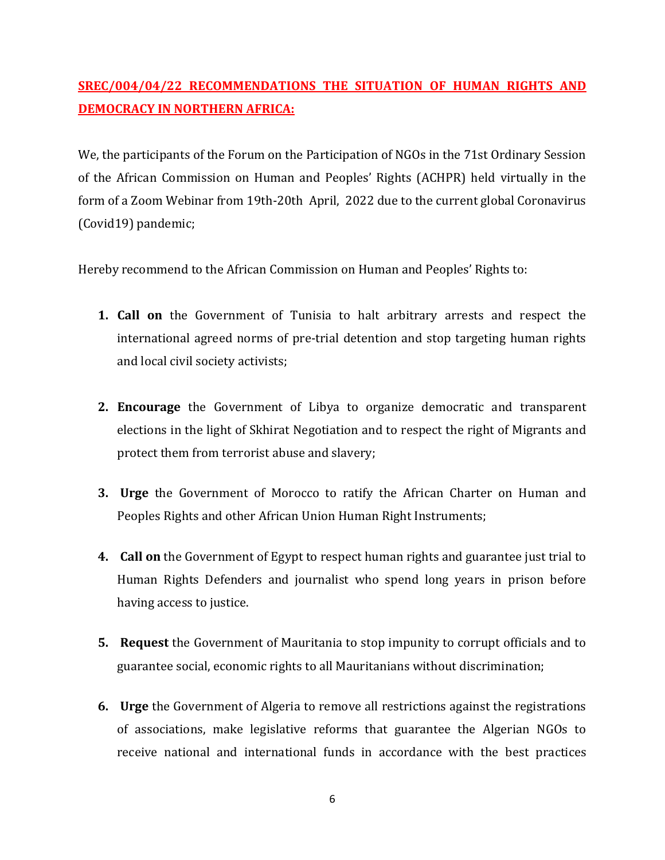# **SREC/004/04/22 RECOMMENDATIONS THE SITUATION OF HUMAN RIGHTS AND DEMOCRACY IN NORTHERN AFRICA:**

We, the participants of the Forum on the Participation of NGOs in the 71st Ordinary Session of the African Commission on Human and Peoples' Rights (ACHPR) held virtually in the form of a Zoom Webinar from 19th-20th April, 2022 due to the current global Coronavirus (Covid19) pandemic;

Hereby recommend to the African Commission on Human and Peoples' Rights to:

- **1. Call on** the Government of Tunisia to halt arbitrary arrests and respect the international agreed norms of pre-trial detention and stop targeting human rights and local civil society activists;
- **2. Encourage** the Government of Libya to organize democratic and transparent elections in the light of Skhirat Negotiation and to respect the right of Migrants and protect them from terrorist abuse and slavery;
- **3. Urge** the Government of Morocco to ratify the African Charter on Human and Peoples Rights and other African Union Human Right Instruments;
- **4. Call on** the Government of Egypt to respect human rights and guarantee just trial to Human Rights Defenders and journalist who spend long years in prison before having access to justice.
- **5. Request** the Government of Mauritania to stop impunity to corrupt officials and to guarantee social, economic rights to all Mauritanians without discrimination;
- **6. Urge** the Government of Algeria to remove all restrictions against the registrations of associations, make legislative reforms that guarantee the Algerian NGOs to receive national and international funds in accordance with the best practices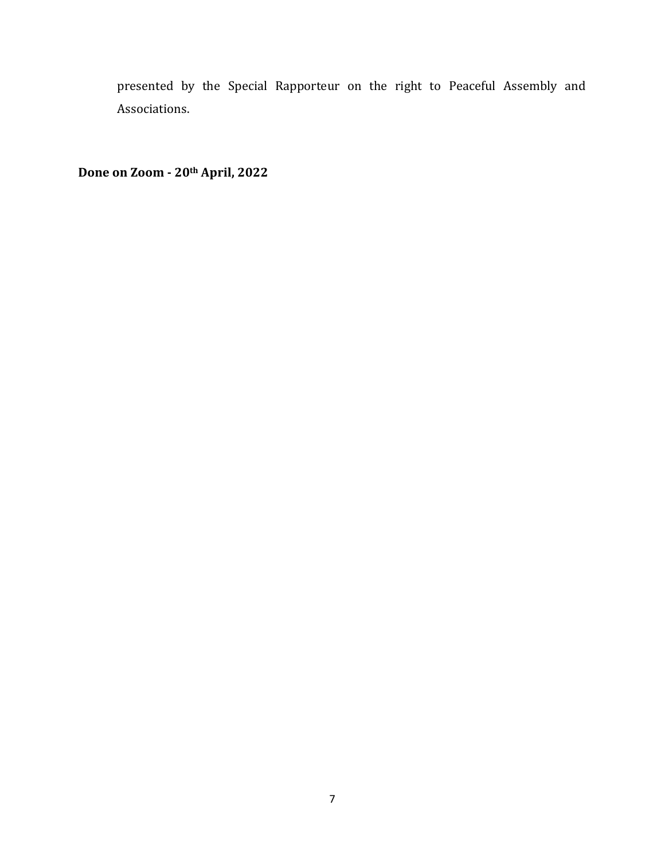presented by the Special Rapporteur on the right to Peaceful Assembly and Associations.

**Done on Zoom - 20th April, 2022**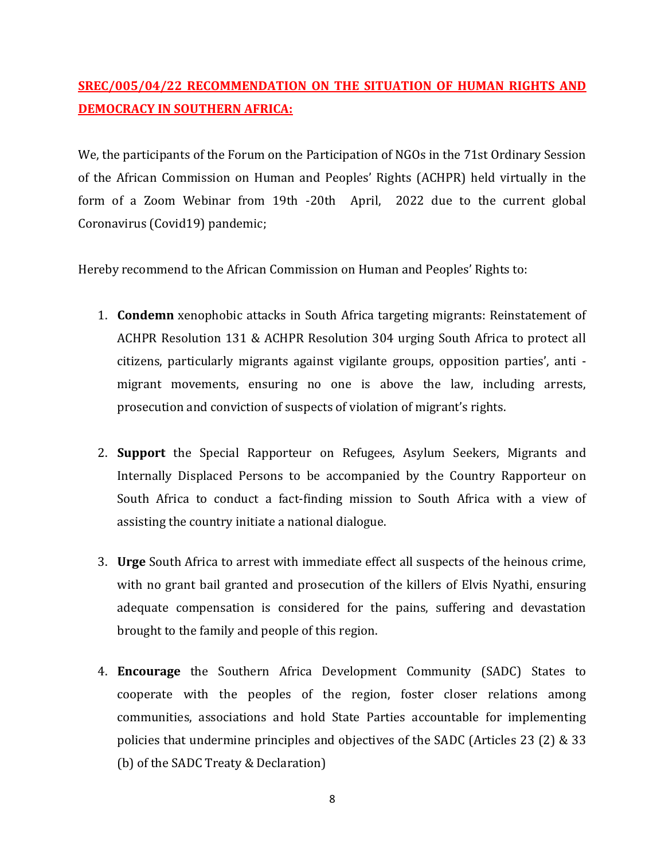# **SREC/005/04/22 RECOMMENDATION ON THE SITUATION OF HUMAN RIGHTS AND DEMOCRACY IN SOUTHERN AFRICA:**

We, the participants of the Forum on the Participation of NGOs in the 71st Ordinary Session of the African Commission on Human and Peoples' Rights (ACHPR) held virtually in the form of a Zoom Webinar from 19th -20th April, 2022 due to the current global Coronavirus (Covid19) pandemic;

Hereby recommend to the African Commission on Human and Peoples' Rights to:

- 1. **Condemn** xenophobic attacks in South Africa targeting migrants: Reinstatement of ACHPR Resolution 131 & ACHPR Resolution 304 urging South Africa to protect all citizens, particularly migrants against vigilante groups, opposition parties', anti migrant movements, ensuring no one is above the law, including arrests, prosecution and conviction of suspects of violation of migrant's rights.
- 2. **Support** the Special Rapporteur on Refugees, Asylum Seekers, Migrants and Internally Displaced Persons to be accompanied by the Country Rapporteur on South Africa to conduct a fact-finding mission to South Africa with a view of assisting the country initiate a national dialogue.
- 3. **Urge** South Africa to arrest with immediate effect all suspects of the heinous crime, with no grant bail granted and prosecution of the killers of Elvis Nyathi, ensuring adequate compensation is considered for the pains, suffering and devastation brought to the family and people of this region.
- 4. **Encourage** the Southern Africa Development Community (SADC) States to cooperate with the peoples of the region, foster closer relations among communities, associations and hold State Parties accountable for implementing policies that undermine principles and objectives of the SADC (Articles 23 (2) & 33 (b) of the SADC Treaty & Declaration)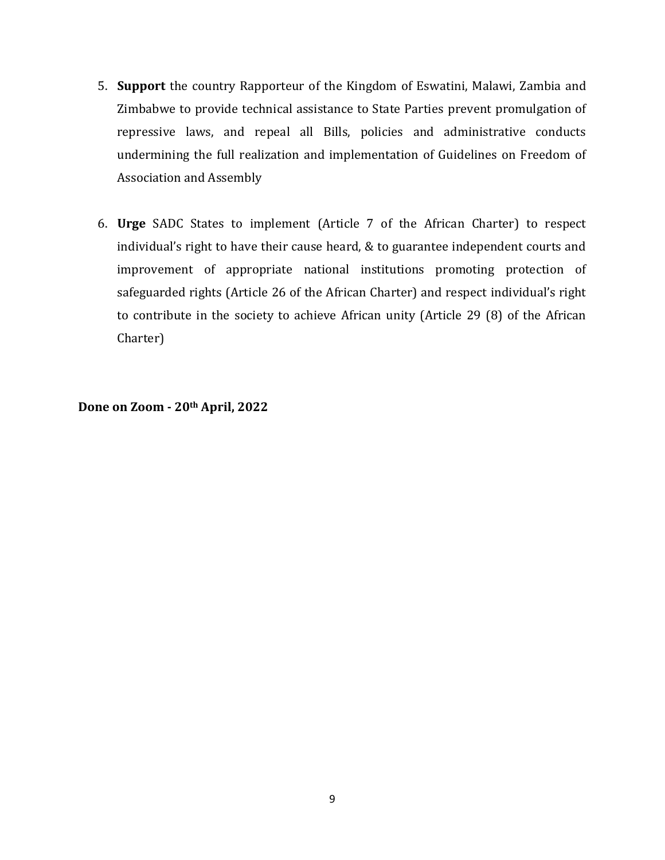- 5. **Support** the country Rapporteur of the Kingdom of Eswatini, Malawi, Zambia and Zimbabwe to provide technical assistance to State Parties prevent promulgation of repressive laws, and repeal all Bills, policies and administrative conducts undermining the full realization and implementation of Guidelines on Freedom of Association and Assembly
- 6. **Urge** SADC States to implement (Article 7 of the African Charter) to respect individual's right to have their cause heard, & to guarantee independent courts and improvement of appropriate national institutions promoting protection of safeguarded rights (Article 26 of the African Charter) and respect individual's right to contribute in the society to achieve African unity (Article 29 (8) of the African Charter)

**Done on Zoom - 20th April, 2022**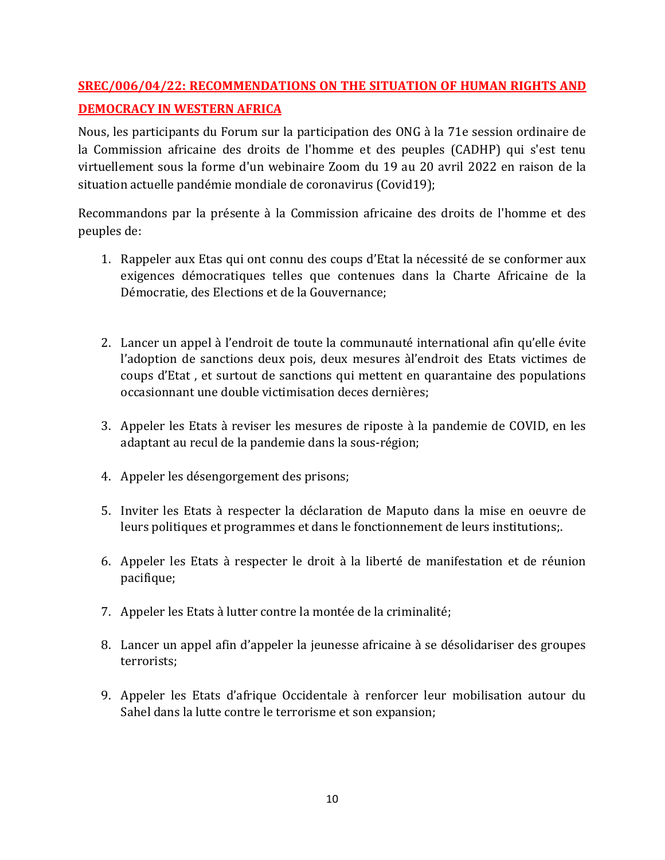# **SREC/006/04/22: RECOMMENDATIONS ON THE SITUATION OF HUMAN RIGHTS AND DEMOCRACY IN WESTERN AFRICA**

Nous, les participants du Forum sur la participation des ONG à la 71e session ordinaire de la Commission africaine des droits de l'homme et des peuples (CADHP) qui s'est tenu virtuellement sous la forme d'un webinaire Zoom du 19 au 20 avril 2022 en raison de la situation actuelle pandémie mondiale de coronavirus (Covid19);

Recommandons par la présente à la Commission africaine des droits de l'homme et des peuples de:

- 1. Rappeler aux Etas qui ont connu des coups d'Etat la nécessité de se conformer aux exigences démocratiques telles que contenues dans la Charte Africaine de la Démocratie, des Elections et de la Gouvernance;
- 2. Lancer un appel à l'endroit de toute la communauté international afin qu'elle évite l'adoption de sanctions deux pois, deux mesures àl'endroit des Etats victimes de coups d'Etat , et surtout de sanctions qui mettent en quarantaine des populations occasionnant une double victimisation deces dernières;
- 3. Appeler les Etats à reviser les mesures de riposte à la pandemie de COVID, en les adaptant au recul de la pandemie dans la sous-région;
- 4. Appeler les désengorgement des prisons;
- 5. Inviter les Etats à respecter la déclaration de Maputo dans la mise en oeuvre de leurs politiques et programmes et dans le fonctionnement de leurs institutions;.
- 6. Appeler les Etats à respecter le droit à la liberté de manifestation et de réunion pacifique;
- 7. Appeler les Etats à lutter contre la montée de la criminalité;
- 8. Lancer un appel afin d'appeler la jeunesse africaine à se désolidariser des groupes terrorists;
- 9. Appeler les Etats d'afrique Occidentale à renforcer leur mobilisation autour du Sahel dans la lutte contre le terrorisme et son expansion;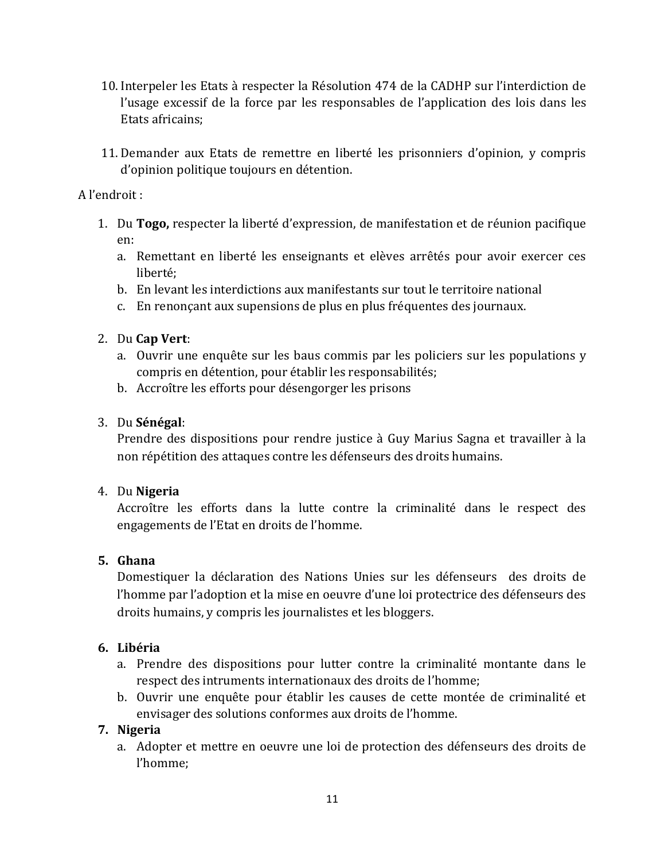- 10. Interpeler les Etats à respecter la Résolution 474 de la CADHP sur l'interdiction de l'usage excessif de la force par les responsables de l'application des lois dans les Etats africains;
- 11. Demander aux Etats de remettre en liberté les prisonniers d'opinion, y compris d'opinion politique toujours en détention.

A l'endroit :

- 1. Du **Togo,** respecter la liberté d'expression, de manifestation et de réunion pacifique en:
	- a. Remettant en liberté les enseignants et elèves arrêtés pour avoir exercer ces liberté;
	- b. En levant les interdictions aux manifestants sur tout le territoire national
	- c. En renonçant aux supensions de plus en plus fréquentes des journaux.
- 2. Du **Cap Vert**:
	- a. Ouvrir une enquête sur les baus commis par les policiers sur les populations y compris en détention, pour établir les responsabilités;
	- b. Accroître les efforts pour désengorger les prisons

#### 3. Du **Sénégal**:

Prendre des dispositions pour rendre justice à Guy Marius Sagna et travailler à la non répétition des attaques contre les défenseurs des droits humains.

#### 4. Du **Nigeria**

Accroître les efforts dans la lutte contre la criminalité dans le respect des engagements de l'Etat en droits de l'homme.

#### **5. Ghana**

Domestiquer la déclaration des Nations Unies sur les défenseurs des droits de l'homme par l'adoption et la mise en oeuvre d'une loi protectrice des défenseurs des droits humains, y compris les journalistes et les bloggers.

# **6. Libéria**

- a. Prendre des dispositions pour lutter contre la criminalité montante dans le respect des intruments internationaux des droits de l'homme;
- b. Ouvrir une enquête pour établir les causes de cette montée de criminalité et envisager des solutions conformes aux droits de l'homme.

# **7. Nigeria**

a. Adopter et mettre en oeuvre une loi de protection des défenseurs des droits de l'homme;